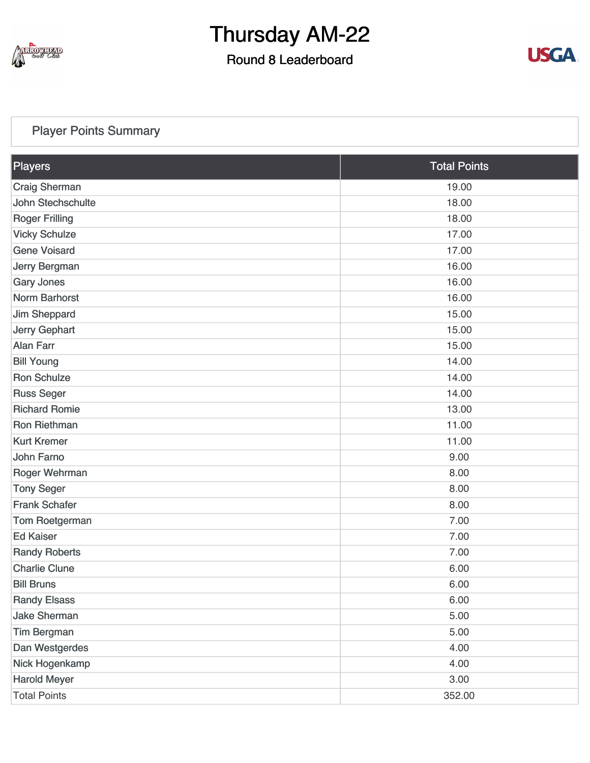

### Round 8 Leaderboard



### [Player Points Summary](https://static.golfgenius.com/v2tournaments/total_points?league_id=8234394788888061414&round_id=8404776582727607687)

| Players               | <b>Total Points</b> |  |
|-----------------------|---------------------|--|
| <b>Craig Sherman</b>  | 19.00               |  |
| John Stechschulte     | 18.00               |  |
| <b>Roger Frilling</b> | 18.00               |  |
| <b>Vicky Schulze</b>  | 17.00               |  |
| <b>Gene Voisard</b>   | 17.00               |  |
| Jerry Bergman         | 16.00               |  |
| <b>Gary Jones</b>     | 16.00               |  |
| <b>Norm Barhorst</b>  | 16.00               |  |
| <b>Jim Sheppard</b>   | 15.00               |  |
| Jerry Gephart         | 15.00               |  |
| <b>Alan Farr</b>      | 15.00               |  |
| <b>Bill Young</b>     | 14.00               |  |
| <b>Ron Schulze</b>    | 14.00               |  |
| <b>Russ Seger</b>     | 14.00               |  |
| <b>Richard Romie</b>  | 13.00               |  |
| <b>Ron Riethman</b>   | 11.00               |  |
| <b>Kurt Kremer</b>    | 11.00               |  |
| John Farno            | 9.00                |  |
| Roger Wehrman         | 8.00                |  |
| <b>Tony Seger</b>     | 8.00                |  |
| <b>Frank Schafer</b>  | 8.00                |  |
| Tom Roetgerman        | 7.00                |  |
| <b>Ed Kaiser</b>      | 7.00                |  |
| <b>Randy Roberts</b>  | 7.00                |  |
| <b>Charlie Clune</b>  | 6.00                |  |
| <b>Bill Bruns</b>     | 6.00                |  |
| <b>Randy Elsass</b>   | 6.00                |  |
| <b>Jake Sherman</b>   | 5.00                |  |
| <b>Tim Bergman</b>    | 5.00                |  |
| Dan Westgerdes        | 4.00                |  |
| Nick Hogenkamp        | 4.00                |  |
| <b>Harold Meyer</b>   | 3.00                |  |
| <b>Total Points</b>   | 352.00              |  |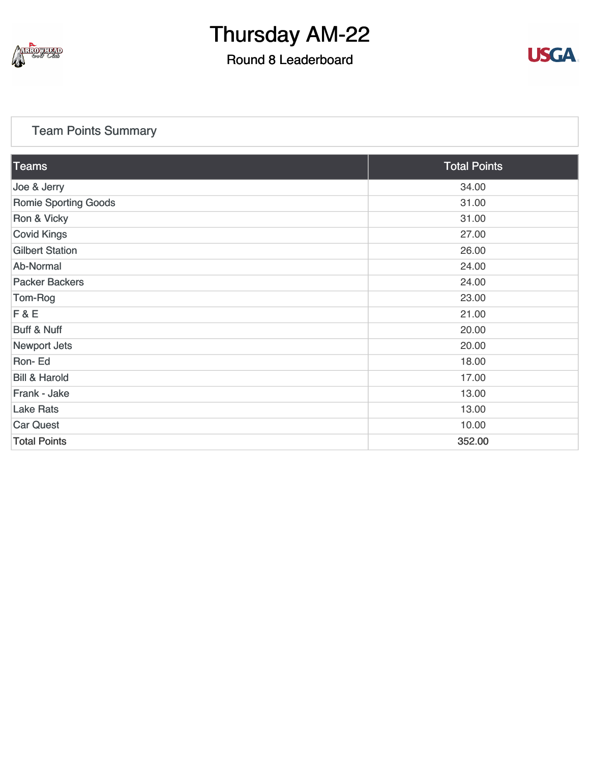

## Round 8 Leaderboard



### [Team Points Summary](https://static.golfgenius.com/v2tournaments/team_points?league_id=8234394788888061414&round_id=8404776582727607687)

| $\overline{\textrm{Teams}}$ | <b>Total Points</b> |  |
|-----------------------------|---------------------|--|
| Joe & Jerry                 | 34.00               |  |
| <b>Romie Sporting Goods</b> | 31.00               |  |
| Ron & Vicky                 | 31.00               |  |
| <b>Covid Kings</b>          | 27.00               |  |
| <b>Gilbert Station</b>      | 26.00               |  |
| Ab-Normal                   | 24.00               |  |
| <b>Packer Backers</b>       | 24.00               |  |
| Tom-Rog                     | 23.00               |  |
| F & E                       | 21.00               |  |
| <b>Buff &amp; Nuff</b>      | 20.00               |  |
| <b>Newport Jets</b>         | 20.00               |  |
| Ron-Ed                      | 18.00               |  |
| <b>Bill &amp; Harold</b>    | 17.00               |  |
| Frank - Jake                | 13.00               |  |
| <b>Lake Rats</b>            | 13.00               |  |
| <b>Car Quest</b>            | 10.00               |  |
| <b>Total Points</b>         | 352.00              |  |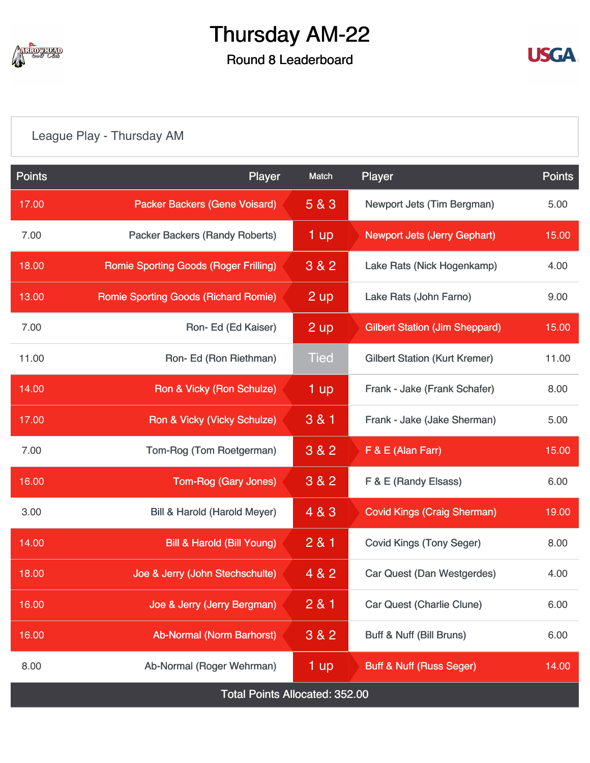

## Round 8 Leaderboard



## [League Play - Thursday AM](https://static.golfgenius.com/v2tournaments/8404788234537674037?called_from=&round_index=8)

| <b>Points</b>                         | Player                                       | Match                                  | Player                                |       |  |
|---------------------------------------|----------------------------------------------|----------------------------------------|---------------------------------------|-------|--|
| 17.00                                 | <b>Packer Backers (Gene Voisard)</b>         | 5 & 3                                  | Newport Jets (Tim Bergman)            |       |  |
| 7.00                                  | <b>Packer Backers (Randy Roberts)</b>        | 1 up                                   | <b>Newport Jets (Jerry Gephart)</b>   |       |  |
| 18.00                                 | <b>Romie Sporting Goods (Roger Frilling)</b> | 3 & 2                                  | Lake Rats (Nick Hogenkamp)            |       |  |
| 13.00                                 | <b>Romie Sporting Goods (Richard Romie)</b>  | 2 up                                   | Lake Rats (John Farno)                | 9.00  |  |
| 7.00                                  | Ron-Ed (Ed Kaiser)                           | 2 up                                   | <b>Gilbert Station (Jim Sheppard)</b> | 15.00 |  |
| 11.00                                 | Ron-Ed (Ron Riethman)                        | <b>Tied</b>                            | <b>Gilbert Station (Kurt Kremer)</b>  | 11.00 |  |
| 14.00                                 | Ron & Vicky (Ron Schulze)                    | 1 up                                   | Frank - Jake (Frank Schafer)          | 8.00  |  |
| 17.00                                 | Ron & Vicky (Vicky Schulze)                  | 3 & 1                                  | Frank - Jake (Jake Sherman)           | 5.00  |  |
| 7.00                                  | Tom-Rog (Tom Roetgerman)                     | 3 & 2<br>F & E (Alan Farr)             |                                       | 15.00 |  |
| 16.00                                 | <b>Tom-Rog (Gary Jones)</b>                  | 3 & 2<br>F & E (Randy Elsass)          |                                       | 6.00  |  |
| 3.00                                  | Bill & Harold (Harold Meyer)                 | 4 & 3                                  | <b>Covid Kings (Craig Sherman)</b>    |       |  |
| 14.00                                 | <b>Bill &amp; Harold (Bill Young)</b>        | 281<br><b>Covid Kings (Tony Seger)</b> |                                       | 8.00  |  |
| 18.00                                 | Joe & Jerry (John Stechschulte)              | 4 & 2<br>Car Quest (Dan Westgerdes)    |                                       | 4.00  |  |
| 16.00                                 | Joe & Jerry (Jerry Bergman)                  | 281<br>Car Quest (Charlie Clune)       |                                       | 6.00  |  |
| 16.00                                 | Ab-Normal (Norm Barhorst)                    | 3 & 2<br>Buff & Nuff (Bill Bruns)      |                                       | 6.00  |  |
| 8.00                                  | Ab-Normal (Roger Wehrman)                    | 1 up                                   | <b>Buff &amp; Nuff (Russ Seger)</b>   | 14.00 |  |
| <b>Total Points Allocated: 352.00</b> |                                              |                                        |                                       |       |  |